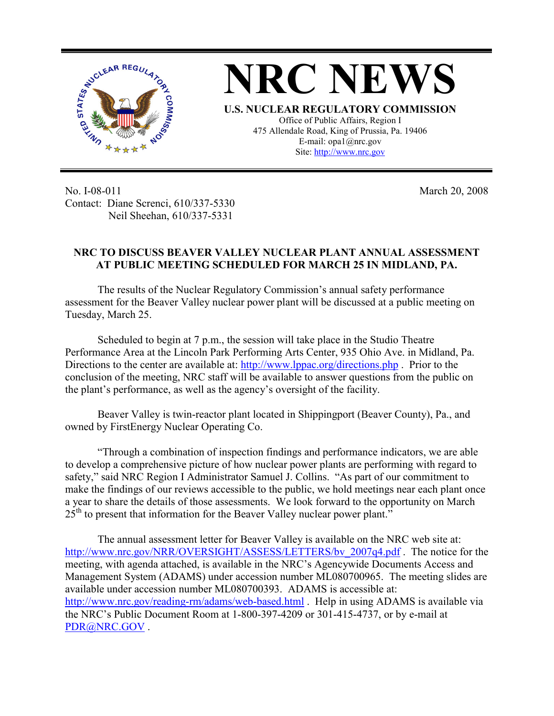

No. I-08-011 Contact: Diane Screnci, 610/337-5330 Neil Sheehan, 610/337-5331

March 20, 2008

## **NRC TO DISCUSS BEAVER VALLEY NUCLEAR PLANT ANNUAL ASSESSMENT AT PUBLIC MEETING SCHEDULED FOR MARCH 25 IN MIDLAND, PA.**

The results of the Nuclear Regulatory Commission's annual safety performance assessment for the Beaver Valley nuclear power plant will be discussed at a public meeting on Tuesday, March 25.

Scheduled to begin at 7 p.m., the session will take place in the Studio Theatre Performance Area at the Lincoln Park Performing Arts Center, 935 Ohio Ave. in Midland, Pa. Directions to the center are available at: http://www.lppac.org/directions.php . Prior to the conclusion of the meeting, NRC staff will be available to answer questions from the public on the plant's performance, as well as the agency's oversight of the facility.

Beaver Valley is twin-reactor plant located in Shippingport (Beaver County), Pa., and owned by FirstEnergy Nuclear Operating Co.

"Through a combination of inspection findings and performance indicators, we are able to develop a comprehensive picture of how nuclear power plants are performing with regard to safety," said NRC Region I Administrator Samuel J. Collins. "As part of our commitment to make the findings of our reviews accessible to the public, we hold meetings near each plant once a year to share the details of those assessments. We look forward to the opportunity on March  $25<sup>th</sup>$  to present that information for the Beaver Valley nuclear power plant."

The annual assessment letter for Beaver Valley is available on the NRC web site at: http://www.nrc.gov/NRR/OVERSIGHT/ASSESS/LETTERS/by 2007q4.pdf . The notice for the meeting, with agenda attached, is available in the NRC's Agencywide Documents Access and Management System (ADAMS) under accession number ML080700965. The meeting slides are available under accession number ML080700393. ADAMS is accessible at: http://www.nrc.gov/reading-rm/adams/web-based.html . Help in using ADAMS is available via the NRC's Public Document Room at 1-800-397-4209 or 301-415-4737, or by e-mail at PDR@NRC.GOV .